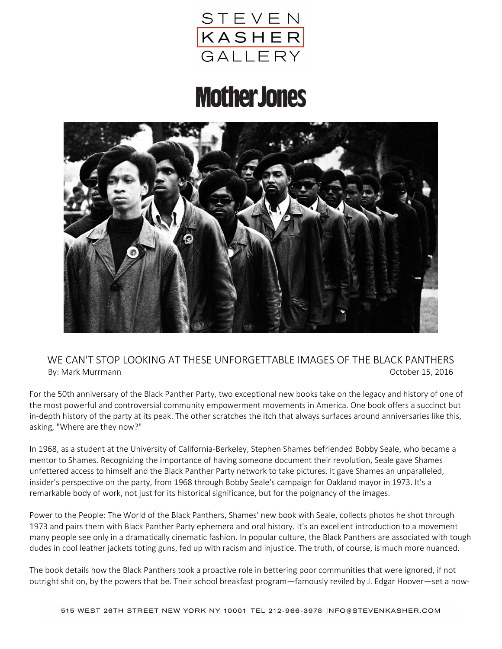

## **MotherJones**



## WE CAN'T STOP LOOKING AT THESE UNFORGETTABLE IMAGES OF THE BLACK PANTHERS By: Mark Murrmann October 15, 2016

For the 50th anniversary of the Black Panther Party, two exceptional new books take on the legacy and history of one of the most powerful and controversial community empowerment movements in America. One book offers a succinct but in-depth history of the party at its peak. The other scratches the itch that always surfaces around anniversaries like this, asking, "Where are they now?"

In 1968, as a student at the University of California-Berkeley, Stephen Shames befriended Bobby Seale, who became a mentor to Shames. Recognizing the importance of having someone document their revolution, Seale gave Shames unfettered access to himself and the Black Panther Party network to take pictures. It gave Shames an unparalleled, insider's perspective on the party, from 1968 through Bobby Seale's campaign for Oakland mayor in 1973. It's a remarkable body of work, not just for its historical significance, but for the poignancy of the images.

Power to the People: The World of the Black Panthers, Shames' new book with Seale, collects photos he shot through 1973 and pairs them with Black Panther Party ephemera and oral history. It's an excellent introduction to a movement many people see only in a dramatically cinematic fashion. In popular culture, the Black Panthers are associated with tough dudes in cool leather jackets toting guns, fed up with racism and injustice. The truth, of course, is much more nuanced.

The book details how the Black Panthers took a proactive role in bettering poor communities that were ignored, if not outright shit on, by the powers that be. Their school breakfast program—famously reviled by J. Edgar Hoover—set a now-